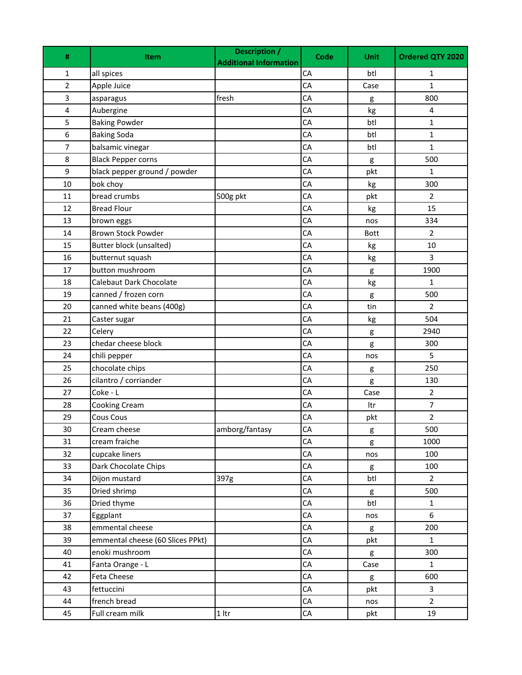| #              | <b>Item</b>                      | <b>Description /</b><br><b>Additional Information</b> | Code       | <b>Unit</b> | Ordered QTY 2020 |
|----------------|----------------------------------|-------------------------------------------------------|------------|-------------|------------------|
| 1              | all spices                       |                                                       | CA         | btl         | 1                |
| $\overline{2}$ | Apple Juice                      |                                                       | CA         | Case        | $\mathbf{1}$     |
| 3              | asparagus                        | fresh                                                 | CA         | g           | 800              |
| $\pmb{4}$      | Aubergine                        |                                                       | CA         | kg          | $\pmb{4}$        |
| 5              | <b>Baking Powder</b>             |                                                       | CA         | btl         | $\mathbf 1$      |
| 6              | <b>Baking Soda</b>               |                                                       | CA         | btl         | $\mathbf{1}$     |
| $\overline{7}$ | balsamic vinegar                 |                                                       | CA         | btl         | $\mathbf{1}$     |
| 8              | <b>Black Pepper corns</b>        |                                                       | CA         | g           | 500              |
| 9              | black pepper ground / powder     |                                                       | CA         | pkt         | $\mathbf{1}$     |
| 10             | bok choy                         |                                                       | CA         | kg          | 300              |
| 11             | bread crumbs                     | 500g pkt                                              | CA         | pkt         | $\overline{2}$   |
| 12             | <b>Bread Flour</b>               |                                                       | CA         | kg          | 15               |
| 13             | brown eggs                       |                                                       | CA         | nos         | 334              |
| 14             | <b>Brown Stock Powder</b>        |                                                       | CA         | <b>Bott</b> | $\overline{2}$   |
| 15             | Butter block (unsalted)          |                                                       | CA         | kg          | $10\,$           |
| 16             | butternut squash                 |                                                       | CA         | kg          | 3                |
| 17             | button mushroom                  |                                                       | CA         | g           | 1900             |
| 18             | Calebaut Dark Chocolate          |                                                       | CA         | kg          | 1                |
| 19             | canned / frozen corn             |                                                       | CA         | g           | 500              |
| 20             | canned white beans (400g)        |                                                       | CA         | tin         | $\overline{2}$   |
| 21             | Caster sugar                     |                                                       | CA         | kg          | 504              |
| 22             | Celery                           |                                                       | CA         | g           | 2940             |
| 23             | chedar cheese block              |                                                       | CA         | g           | 300              |
| 24             | chili pepper                     |                                                       | CA         | nos         | 5                |
| 25             | chocolate chips                  |                                                       | CA         | g           | 250              |
| 26             | cilantro / corriander            |                                                       | CA         | g           | 130              |
| 27             | Coke - L                         |                                                       | CA         | Case        | $\overline{2}$   |
| 28             | Cooking Cream                    |                                                       | CA         | Itr         | 7                |
| 29             | Cous Cous                        |                                                       | CA         | pkt         | 2                |
| 30             | Cream cheese                     | amborg/fantasy                                        | CA         | g           | 500              |
| 31             | cream fraiche                    |                                                       | ${\sf CA}$ | g           | 1000             |
| 32             | cupcake liners                   |                                                       | CA         | nos         | 100              |
| 33             | Dark Chocolate Chips             |                                                       | CA         | g           | 100              |
| 34             | Dijon mustard                    | 397g                                                  | ${\sf CA}$ | btl         | $\overline{2}$   |
| 35             | Dried shrimp                     |                                                       | CA         | g           | 500              |
| 36             | Dried thyme                      |                                                       | ${\sf CA}$ | btl         | $\mathbf{1}$     |
| 37             | Eggplant                         |                                                       | CA         | nos         | 6                |
| 38             | emmental cheese                  |                                                       | CA         | g           | 200              |
| 39             | emmental cheese (60 Slices PPkt) |                                                       | CA         | pkt         | $\mathbf{1}$     |
| 40             | enoki mushroom                   |                                                       | CA         | g           | 300              |
| 41             | Fanta Orange - L                 |                                                       | CA         | Case        | $\mathbf{1}$     |
| 42             | Feta Cheese                      |                                                       | CA         | g           | 600              |
| 43             | fettuccini                       |                                                       | CA         | pkt         | 3                |
| 44             | french bread                     |                                                       | CA         | nos         | $\overline{2}$   |
| 45             | Full cream milk                  | $1$ ltr                                               | ${\sf CA}$ | pkt         | 19               |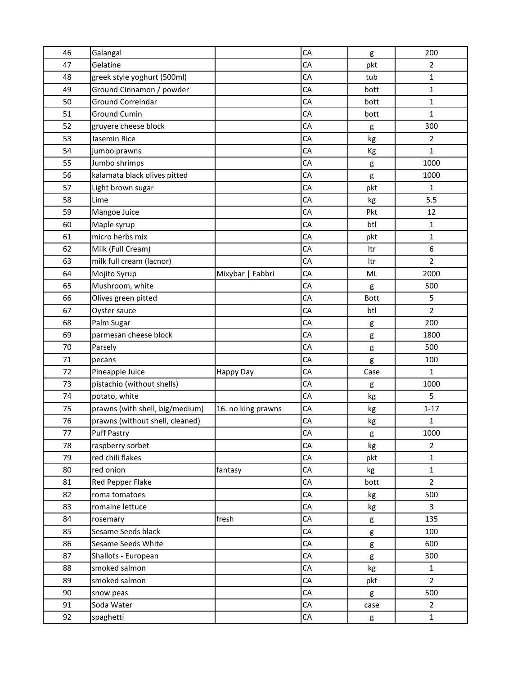| 46 | Galangal                        |                    | CA         | g           | 200            |
|----|---------------------------------|--------------------|------------|-------------|----------------|
| 47 | Gelatine                        |                    | CA         | pkt         | $\overline{2}$ |
| 48 | greek style yoghurt (500ml)     |                    | CA         | tub         | $\mathbf 1$    |
| 49 | Ground Cinnamon / powder        |                    | CA         | bott        | $\mathbf{1}$   |
| 50 | Ground Correindar               |                    | CA         | bott        | $\mathbf{1}$   |
| 51 | <b>Ground Cumin</b>             |                    | CA         | bott        | $\mathbf{1}$   |
| 52 | gruyere cheese block            |                    | CA         | g           | 300            |
| 53 | Jasemin Rice                    |                    | CA         | kg          | $\overline{2}$ |
| 54 | jumbo prawns                    |                    | CA         | Kg          | $\mathbf{1}$   |
| 55 | Jumbo shrimps                   |                    | CA         | g           | 1000           |
| 56 | kalamata black olives pitted    |                    | CA         | g           | 1000           |
| 57 | Light brown sugar               |                    | CA         | pkt         | $\mathbf{1}$   |
| 58 | Lime                            |                    | CA         | kg          | 5.5            |
| 59 | Mangoe Juice                    |                    | CA         | Pkt         | 12             |
| 60 | Maple syrup                     |                    | CA         | btl         | $\mathbf 1$    |
| 61 | micro herbs mix                 |                    | CA         | pkt         | 1              |
| 62 | Milk (Full Cream)               |                    | CA         | Itr         | 6              |
| 63 | milk full cream (lacnor)        |                    | ${\sf CA}$ | Itr         | $\overline{2}$ |
| 64 | Mojito Syrup                    | Mixybar   Fabbri   | CA         | ML          | 2000           |
| 65 | Mushroom, white                 |                    | CA         | g           | 500            |
| 66 | Olives green pitted             |                    | CA         | <b>Bott</b> | 5              |
| 67 | Oyster sauce                    |                    | CA         | btl         | $\overline{2}$ |
| 68 | Palm Sugar                      |                    | CA         | g           | 200            |
| 69 | parmesan cheese block           |                    | CA         | g           | 1800           |
| 70 | Parsely                         |                    | CA         | g           | 500            |
| 71 | pecans                          |                    | ${\sf CA}$ | g           | 100            |
| 72 | Pineapple Juice                 | Happy Day          | CA         | Case        | $\mathbf{1}$   |
| 73 | pistachio (without shells)      |                    | CA         | g           | 1000           |
| 74 | potato, white                   |                    | CA         | kg          | 5              |
| 75 | prawns (with shell, big/medium) | 16. no king prawns | CA         | kg          | $1 - 17$       |
| 76 | prawns (without shell, cleaned) |                    | CA         | kg          | 1              |
| 77 | <b>Puff Pastry</b>              |                    | CA         | g           | 1000           |
| 78 | raspberry sorbet                |                    | CA         | kg          | $\overline{2}$ |
| 79 | red chili flakes                |                    | ${\sf CA}$ | pkt         | $\mathbf 1$    |
| 80 | red onion                       | fantasy            | ${\sf CA}$ | kg          | $\mathbf{1}$   |
| 81 | Red Pepper Flake                |                    | CA         | bott        | $\overline{2}$ |
| 82 | roma tomatoes                   |                    | ${\sf CA}$ | kg          | 500            |
| 83 | romaine lettuce                 |                    | ${\sf CA}$ | kg          | 3              |
| 84 | rosemary                        | fresh              | ${\sf CA}$ | g           | 135            |
| 85 | Sesame Seeds black              |                    | ${\sf CA}$ | g           | 100            |
| 86 | Sesame Seeds White              |                    | CA         | g           | 600            |
| 87 | Shallots - European             |                    | CA         | g           | 300            |
| 88 | smoked salmon                   |                    | ${\sf CA}$ | kg          | $\mathbf{1}$   |
| 89 | smoked salmon                   |                    | CA         | pkt         | $\overline{2}$ |
| 90 | snow peas                       |                    | ${\sf CA}$ | g           | 500            |
| 91 | Soda Water                      |                    | CA         | case        | $\overline{2}$ |
| 92 | spaghetti                       |                    | ${\sf CA}$ | g           | 1              |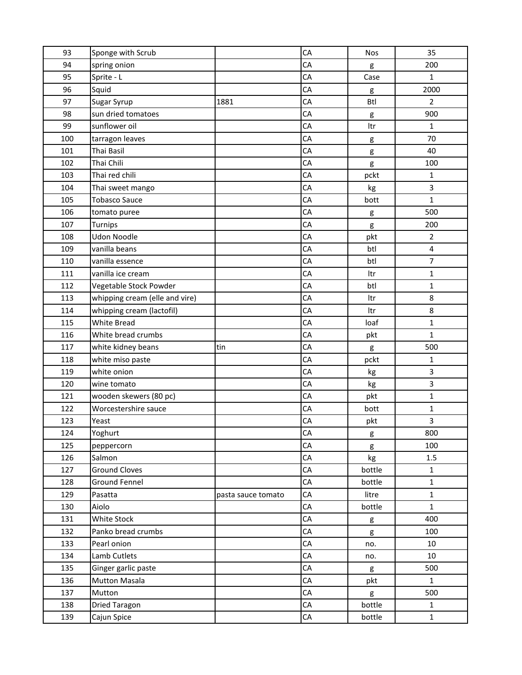| 93  | Sponge with Scrub              |                    | CA | Nos        | 35             |
|-----|--------------------------------|--------------------|----|------------|----------------|
| 94  | spring onion                   |                    | CA | g          | 200            |
| 95  | Sprite - L                     |                    | CA | Case       | $\mathbf{1}$   |
| 96  | Squid                          |                    | CA | g          | 2000           |
| 97  | Sugar Syrup                    | 1881               | CA | <b>Btl</b> | $\overline{2}$ |
| 98  | sun dried tomatoes             |                    | CA | g          | 900            |
| 99  | sunflower oil                  |                    | CA | Itr        | $\mathbf{1}$   |
| 100 | tarragon leaves                |                    | CA | g          | 70             |
| 101 | Thai Basil                     |                    | CA | g          | 40             |
| 102 | Thai Chili                     |                    | CA | g          | 100            |
| 103 | Thai red chili                 |                    | CA | pckt       | $\mathbf{1}$   |
| 104 | Thai sweet mango               |                    | CA | kg         | 3              |
| 105 | <b>Tobasco Sauce</b>           |                    | CA | bott       | $\mathbf{1}$   |
| 106 | tomato puree                   |                    | CA | g          | 500            |
| 107 | Turnips                        |                    | CA | g          | 200            |
| 108 | <b>Udon Noodle</b>             |                    | CA | pkt        | $\overline{2}$ |
| 109 | vanilla beans                  |                    | CA | btl        | $\pmb{4}$      |
| 110 | vanilla essence                |                    | CA | btl        | $\overline{7}$ |
| 111 | vanilla ice cream              |                    | CA | Itr        | $\mathbf{1}$   |
| 112 | Vegetable Stock Powder         |                    | CA | btl        | 1              |
| 113 | whipping cream (elle and vire) |                    | CA | Itr        | 8              |
| 114 | whipping cream (lactofil)      |                    | CA | Itr        | 8              |
| 115 | White Bread                    |                    | CA | loaf       | $\mathbf{1}$   |
| 116 | White bread crumbs             |                    | CA | pkt        | $\mathbf{1}$   |
| 117 | white kidney beans             | tin                | CA | g          | 500            |
| 118 | white miso paste               |                    | CA | pckt       | 1              |
| 119 | white onion                    |                    | CA | kg         | 3              |
| 120 | wine tomato                    |                    | CA | kg         | 3              |
| 121 | wooden skewers (80 pc)         |                    | CA | pkt        | $\mathbf 1$    |
| 122 | Worcestershire sauce           |                    | CA | bott       | 1              |
| 123 | Yeast                          |                    | CA | pkt        | 3              |
| 124 | Yoghurt                        |                    | CA | g          | 800            |
| 125 | peppercorn                     |                    | CA | g          | 100            |
| 126 | Salmon                         |                    | CA | kg         | 1.5            |
| 127 | <b>Ground Cloves</b>           |                    | СA | bottle     | $\mathbf{1}$   |
| 128 | Ground Fennel                  |                    | CA | bottle     | $\mathbf 1$    |
| 129 | Pasatta                        | pasta sauce tomato | CA | litre      | $\mathbf{1}$   |
| 130 | Aiolo                          |                    | СA | bottle     | $\mathbf{1}$   |
| 131 | White Stock                    |                    | СA | g          | 400            |
| 132 | Panko bread crumbs             |                    | СA | g          | 100            |
| 133 | Pearl onion                    |                    | CA | no.        | 10             |
| 134 | Lamb Cutlets                   |                    | СA | no.        | 10             |
| 135 | Ginger garlic paste            |                    | CA | g          | 500            |
| 136 | <b>Mutton Masala</b>           |                    | CA | pkt        | $\mathbf{1}$   |
| 137 | Mutton                         |                    | СA | g          | 500            |
| 138 | Dried Taragon                  |                    | CA | bottle     | $\mathbf{1}$   |
| 139 | Cajun Spice                    |                    | CA | bottle     | $\mathbf{1}$   |